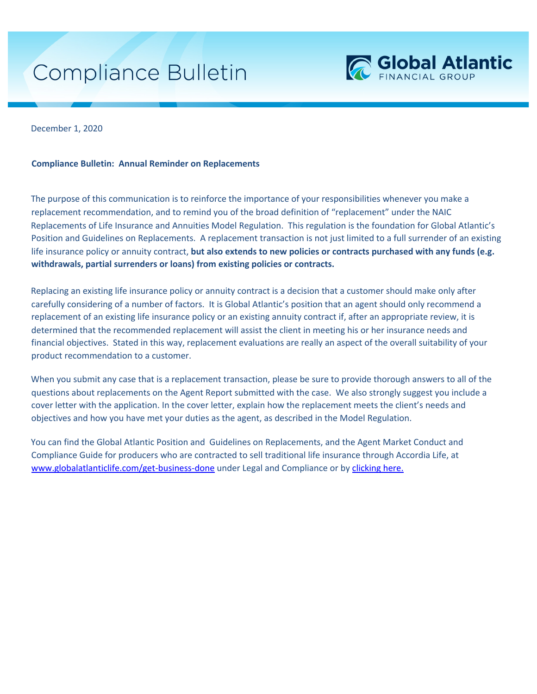## Compliance Bulletin



December 1, 2020

## **Compliance Bulletin: Annual Reminder on Replacements**

The purpose of this communication is to reinforce the importance of your responsibilities whenever you make a replacement recommendation, and to remind you of the broad definition of "replacement" under the NAIC Replacements of Life Insurance and Annuities Model Regulation. This regulation is the foundation for Global Atlantic's Position and Guidelines on Replacements. A replacement transaction is not just limited to a full surrender of an existing life insurance policy or annuity contract, **but also extends to new policies or contracts purchased with any funds (e.g. withdrawals, partial surrenders or loans) from existing policies or contracts.** 

Replacing an existing life insurance policy or annuity contract is a decision that a customer should make only after carefully considering of a number of factors. It is Global Atlantic's position that an agent should only recommend a replacement of an existing life insurance policy or an existing annuity contract if, after an appropriate review, it is determined that the recommended replacement will assist the client in meeting his or her insurance needs and financial objectives. Stated in this way, replacement evaluations are really an aspect of the overall suitability of your product recommendation to a customer.

When you submit any case that is a replacement transaction, please be sure to provide thorough answers to all of the questions about replacements on the Agent Report submitted with the case. We also strongly suggest you include a cover letter with the application. In the cover letter, explain how the replacement meets the client's needs and objectives and how you have met your duties as the agent, as described in the Model Regulation.

You can find the Global Atlantic Position and Guidelines on Replacements, and the Agent Market Conduct and Compliance Guide for producers who are contracted to sell traditional life insurance through Accordia Life, at www.globalatlanticlife.com/get-business-done under Legal and Compliance or by clicking here.